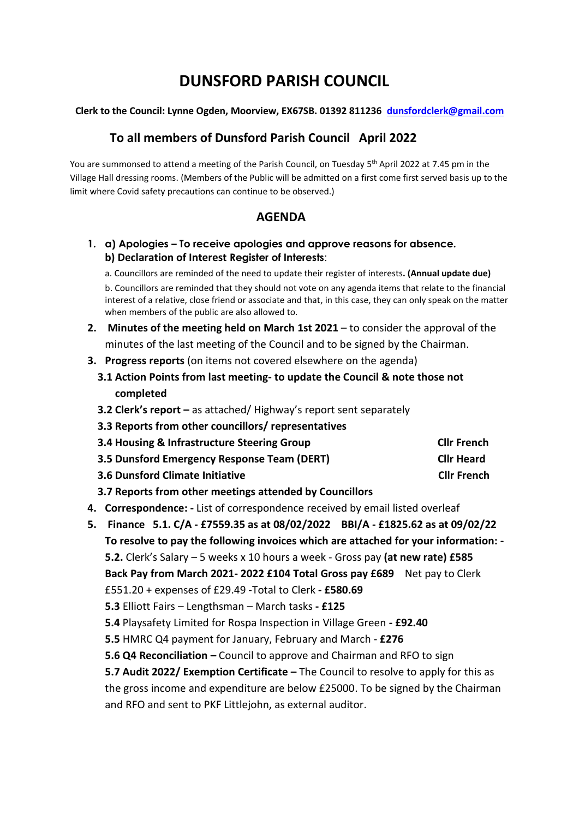# **DUNSFORD PARISH COUNCIL**

#### **Clerk to the Council: Lynne Ogden, Moorview, EX67SB. 01392 811236 [dunsfordclerk@gmail.com](mailto:dunsfordclerk@gmail.com)**

## **To all members of Dunsford Parish Council April 2022**

You are summonsed to attend a meeting of the Parish Council, on Tuesday 5<sup>th</sup> April 2022 at 7.45 pm in the Village Hall dressing rooms. (Members of the Public will be admitted on a first come first served basis up to the limit where Covid safety precautions can continue to be observed.)

## **AGENDA**

**1. a) Apologies – To receive apologies and approve reasons for absence. b) Declaration of Interest Register of Interests**:

a. Councillors are reminded of the need to update their register of interests**. (Annual update due)** b. Councillors are reminded that they should not vote on any agenda items that relate to the financial interest of a relative, close friend or associate and that, in this case, they can only speak on the matter when members of the public are also allowed to.

- **2. Minutes of the meeting held on March 1st 2021** to consider the approval of the minutes of the last meeting of the Council and to be signed by the Chairman.
- **3. Progress reports** (on items not covered elsewhere on the agenda)
	- **3.1 Action Points from last meeting- to update the Council & note those not completed**
	- **3.2 Clerk's report –** as attached/ Highway's report sent separately
	- **3.3 Reports from other councillors/ representatives**
	- **3.4 Housing & Infrastructure Steering Group Cllr French**
	- **3.5 Dunsford Emergency Response Team (DERT) Cllr Heard**
	- **3.6** Dunsford Climate Initiative Climate Climate Climate Climate Climate Climate Climate Climate Climate Climate Climate Climate Climate Climate Climate Climate Climate Climate Climate Climate Climate Climate Climate Clim
	- **3.7 Reports from other meetings attended by Councillors**
- **4. Correspondence: -** List of correspondence received by email listed overleaf
- **5. Finance 5.1. C/A - £7559.35 as at 08/02/2022 BBI/A - £1825.62 as at 09/02/22 To resolve to pay the following invoices which are attached for your information: - 5.2.** Clerk's Salary – 5 weeks x 10 hours a week - Gross pay **(at new rate) £585 Back Pay from March 2021- 2022 £104 Total Gross pay £689** Net pay to Clerk £551.20 + expenses of £29.49 -Total to Clerk **- £580.69 5.3** Elliott Fairs – Lengthsman – March tasks **- £125 5.4** Playsafety Limited for Rospa Inspection in Village Green **- £92.40 5.5** HMRC Q4 payment for January, February and March - **£276 5.6 Q4 Reconciliation –** Council to approve and Chairman and RFO to sign **5.7 Audit 2022/ Exemption Certificate –** The Council to resolve to apply for this as the gross income and expenditure are below £25000. To be signed by the Chairman and RFO and sent to PKF Littlejohn, as external auditor.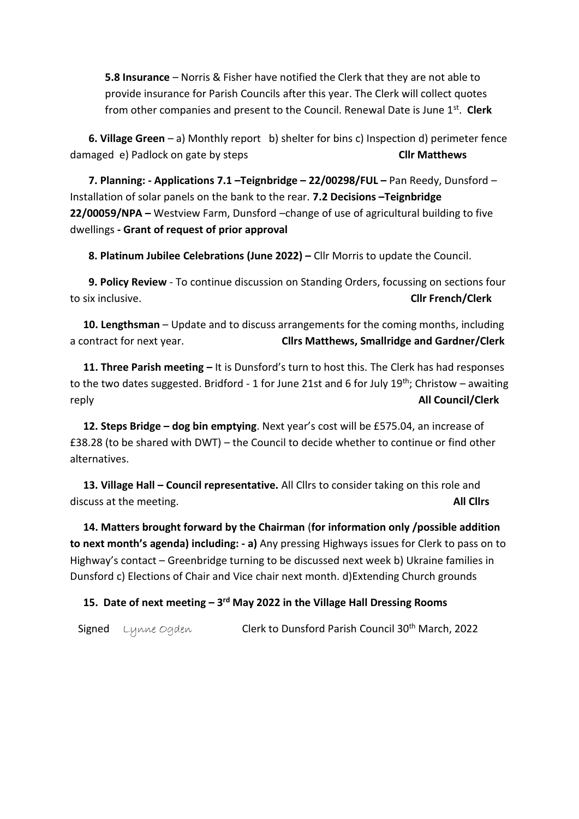**5.8 Insurance** – Norris & Fisher have notified the Clerk that they are not able to provide insurance for Parish Councils after this year. The Clerk will collect quotes from other companies and present to the Council. Renewal Date is June 1st . **Clerk**

 **6. Village Green** – a) Monthly report b) shelter for bins c) Inspection d) perimeter fence damaged e) Padlock on gate by steps **Cllr Matthews**

 **7. Planning: - Applications 7.1 –Teignbridge – 22/00298/FUL –** Pan Reedy, Dunsford – Installation of solar panels on the bank to the rear. **7.2 Decisions –Teignbridge 22/00059/NPA –** Westview Farm, Dunsford –change of use of agricultural building to five dwellings **- Grant of request of prior approval**

 **8. Platinum Jubilee Celebrations (June 2022) –** Cllr Morris to update the Council.

 **9. Policy Review** - To continue discussion on Standing Orders, focussing on sections four to six inclusive. **Cllr French/Clerk**

 **10. Lengthsman** – Update and to discuss arrangements for the coming months, including a contract for next year. **Cllrs Matthews, Smallridge and Gardner/Clerk** 

 **11. Three Parish meeting –** It is Dunsford's turn to host this. The Clerk has had responses to the two dates suggested. Bridford - 1 for June 21st and 6 for July 19<sup>th</sup>; Christow – awaiting reply **All Council/Clerk**

 **12. Steps Bridge – dog bin emptying**. Next year's cost will be £575.04, an increase of £38.28 (to be shared with DWT) – the Council to decide whether to continue or find other alternatives.

 **13. Village Hall – Council representative.** All Cllrs to consider taking on this role and discuss at the meeting. **All Cllrs**

 **14. Matters brought forward by the Chairman** (**for information only /possible addition to next month's agenda) including: - a)** Any pressing Highways issues for Clerk to pass on to Highway's contact – Greenbridge turning to be discussed next week b) Ukraine families in Dunsford c) Elections of Chair and Vice chair next month. d)Extending Church grounds

### **15. Date of next meeting – 3 rd May 2022 in the Village Hall Dressing Rooms**

Signed Lynne Ogden Clerk to Dunsford Parish Council 30<sup>th</sup> March, 2022